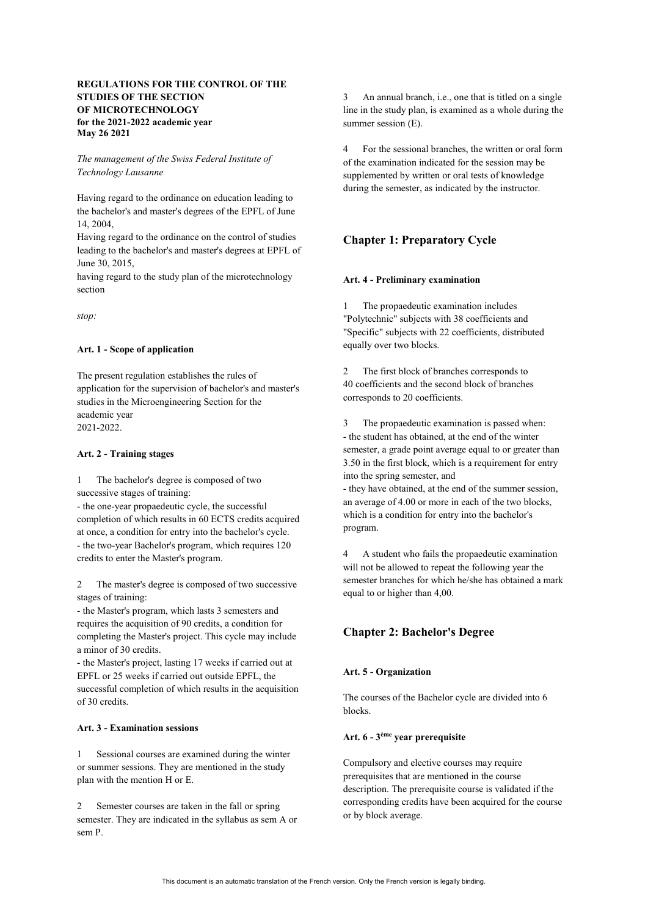# **REGULATIONS FOR THE CONTROL OF THE STUDIES OF THE SECTION OF MICROTECHNOLOGY for the 2021-2022 academic year May 26 2021**

*The management of the Swiss Federal Institute of Technology Lausanne*

Having regard to the ordinance on education leading to the bachelor's and master's degrees of the EPFL of June 14, 2004,

Having regard to the ordinance on the control of studies leading to the bachelor's and master's degrees at EPFL of June 30, 2015,

having regard to the study plan of the microtechnology section

*stop:*

## **Art. 1 - Scope of application**

The present regulation establishes the rules of application for the supervision of bachelor's and master's studies in the Microengineering Section for the academic year 2021-2022.

#### **Art. 2 - Training stages**

1 The bachelor's degree is composed of two successive stages of training:

- the one-year propaedeutic cycle, the successful completion of which results in 60 ECTS credits acquired at once, a condition for entry into the bachelor's cycle. - the two-year Bachelor's program, which requires 120 credits to enter the Master's program.

2 The master's degree is composed of two successive stages of training:

- the Master's program, which lasts 3 semesters and requires the acquisition of 90 credits, a condition for completing the Master's project. This cycle may include a minor of 30 credits.

- the Master's project, lasting 17 weeks if carried out at EPFL or 25 weeks if carried out outside EPFL, the successful completion of which results in the acquisition of 30 credits.

## **Art. 3 - Examination sessions**

1 Sessional courses are examined during the winter or summer sessions. They are mentioned in the study plan with the mention H or E.

2 Semester courses are taken in the fall or spring semester. They are indicated in the syllabus as sem A or sem P.

3 An annual branch, i.e., one that is titled on a single line in the study plan, is examined as a whole during the summer session (E).

4 For the sessional branches, the written or oral form of the examination indicated for the session may be supplemented by written or oral tests of knowledge during the semester, as indicated by the instructor.

# **Chapter 1: Preparatory Cycle**

#### **Art. 4 - Preliminary examination**

1 The propaedeutic examination includes "Polytechnic" subjects with 38 coefficients and "Specific" subjects with 22 coefficients, distributed equally over two blocks.

2 The first block of branches corresponds to 40 coefficients and the second block of branches corresponds to 20 coefficients.

3 The propaedeutic examination is passed when: - the student has obtained, at the end of the winter semester, a grade point average equal to or greater than 3.50 in the first block, which is a requirement for entry into the spring semester, and

- they have obtained, at the end of the summer session, an average of 4.00 or more in each of the two blocks, which is a condition for entry into the bachelor's program.

4 A student who fails the propaedeutic examination will not be allowed to repeat the following year the semester branches for which he/she has obtained a mark equal to or higher than 4,00.

# **Chapter 2: Bachelor's Degree**

## **Art. 5 - Organization**

The courses of the Bachelor cycle are divided into 6 blocks.

# **Art. 6 - 3ème year prerequisite**

Compulsory and elective courses may require prerequisites that are mentioned in the course description. The prerequisite course is validated if the corresponding credits have been acquired for the course or by block average.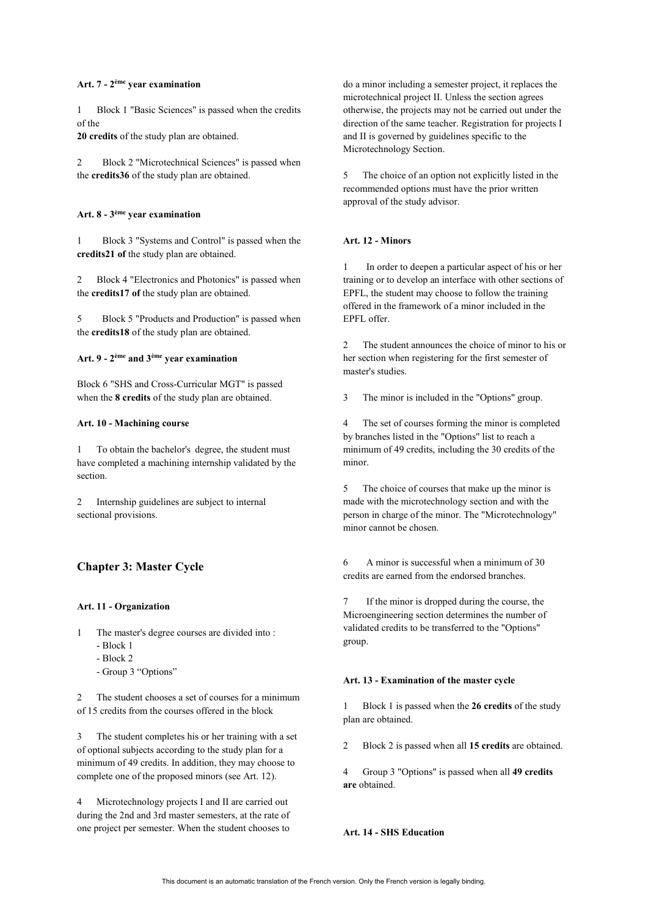## **Art. 7 - 2ème year examination**

1 Block 1 "Basic Sciences" is passed when the credits of the

**20 credits** of the study plan are obtained.

2 Block 2 "Microtechnical Sciences" is passed when the **credits36** of the study plan are obtained.

### **Art. 8 - 3ème year examination**

1 Block 3 "Systems and Control" is passed when the **credits21 of** the study plan are obtained.

2 Block 4 "Electronics and Photonics" is passed when the **credits17 of** the study plan are obtained.

5 Block 5 "Products and Production" is passed when the **credits18** of the study plan are obtained.

## **Art. 9 - 2ème and 3ème year examination**

Block 6 "SHS and Cross-Curricular MGT" is passed when the **8 credits** of the study plan are obtained.

#### **Art. 10 - Machining course**

1 To obtain the bachelor's degree, the student must have completed a machining internship validated by the section.

2 Internship guidelines are subject to internal sectional provisions.

# **Chapter 3: Master Cycle**

#### **Art. 11 - Organization**

- The master's degree courses are divided into :
	- Block 1
	- Block 2
	- Group 3 "Options"

2 The student chooses a set of courses for a minimum of 15 credits from the courses offered in the block

3 The student completes his or her training with a set of optional subjects according to the study plan for a minimum of 49 credits. In addition, they may choose to complete one of the proposed minors (see Art. 12).

4 Microtechnology projects I and II are carried out during the 2nd and 3rd master semesters, at the rate of one project per semester. When the student chooses to

do a minor including a semester project, it replaces the microtechnical project II. Unless the section agrees otherwise, the projects may not be carried out under the direction of the same teacher. Registration for projects I and II is governed by guidelines specific to the Microtechnology Section.

5 The choice of an option not explicitly listed in the recommended options must have the prior written approval of the study advisor.

#### **Art. 12 - Minors**

1 In order to deepen a particular aspect of his or her training or to develop an interface with other sections of EPFL, the student may choose to follow the training offered in the framework of a minor included in the EPFL offer.

2 The student announces the choice of minor to his or her section when registering for the first semester of master's studies.

3 The minor is included in the "Options" group.

4 The set of courses forming the minor is completed by branches listed in the "Options" list to reach a minimum of 49 credits, including the 30 credits of the minor.

5 The choice of courses that make up the minor is made with the microtechnology section and with the person in charge of the minor. The "Microtechnology" minor cannot be chosen.

6 A minor is successful when a minimum of 30 credits are earned from the endorsed branches.

If the minor is dropped during the course, the Microengineering section determines the number of validated credits to be transferred to the "Options" group.

#### **Art. 13 - Examination of the master cycle**

1 Block 1 is passed when the **26 credits** of the study plan are obtained.

2 Block 2 is passed when all **15 credits** are obtained.

4 Group 3 "Options" is passed when all **49 credits are** obtained.

## **Art. 14 - SHS Education**